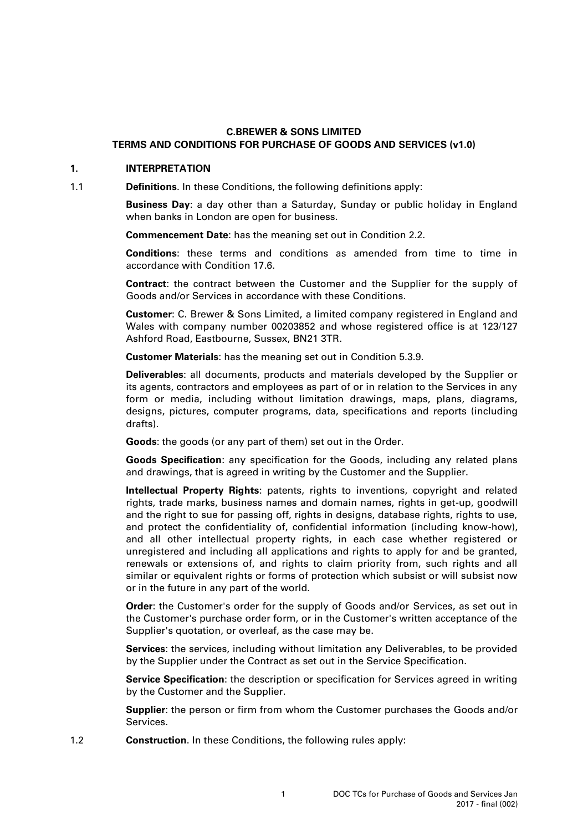# **C.BREWER & SONS LIMITED TERMS AND CONDITIONS FOR PURCHASE OF GOODS AND SERVICES (v1.0)**

# **1. INTERPRETATION**

1.1 **Definitions**. In these Conditions, the following definitions apply:

**Business Day**: a day other than a Saturday, Sunday or public holiday in England when banks in London are open for business.

**Commencement Date**: has the meaning set out in Condition [2.2.](#page-1-0)

**Conditions**: these terms and conditions as amended from time to time in accordance with Condition [17.6.](#page-9-0)

**Contract**: the contract between the Customer and the Supplier for the supply of Goods and/or Services in accordance with these Conditions.

**Customer**: C. Brewer & Sons Limited, a limited company registered in England and Wales with company number 00203852 and whose registered office is at 123/127 Ashford Road, Eastbourne, Sussex, BN21 3TR.

**Customer Materials**: has the meaning set out in Condition [5.3.9.](#page-3-0)

**Deliverables**: all documents, products and materials developed by the Supplier or its agents, contractors and employees as part of or in relation to the Services in any form or media, including without limitation drawings, maps, plans, diagrams, designs, pictures, computer programs, data, specifications and reports (including drafts).

**Goods**: the goods (or any part of them) set out in the Order.

**Goods Specification**: any specification for the Goods, including any related plans and drawings, that is agreed in writing by the Customer and the Supplier.

**Intellectual Property Rights**: patents, rights to inventions, copyright and related rights, trade marks, business names and domain names, rights in get-up, goodwill and the right to sue for passing off, rights in designs, database rights, rights to use, and protect the confidentiality of, confidential information (including know-how), and all other intellectual property rights, in each case whether registered or unregistered and including all applications and rights to apply for and be granted, renewals or extensions of, and rights to claim priority from, such rights and all similar or equivalent rights or forms of protection which subsist or will subsist now or in the future in any part of the world.

**Order**: the Customer's order for the supply of Goods and/or Services, as set out in the Customer's purchase order form, or in the Customer's written acceptance of the Supplier's quotation, or overleaf, as the case may be.

**Services**: the services, including without limitation any Deliverables, to be provided by the Supplier under the Contract as set out in the Service Specification.

**Service Specification**: the description or specification for Services agreed in writing by the Customer and the Supplier.

**Supplier**: the person or firm from whom the Customer purchases the Goods and/or Services.

1.2 **Construction**. In these Conditions, the following rules apply: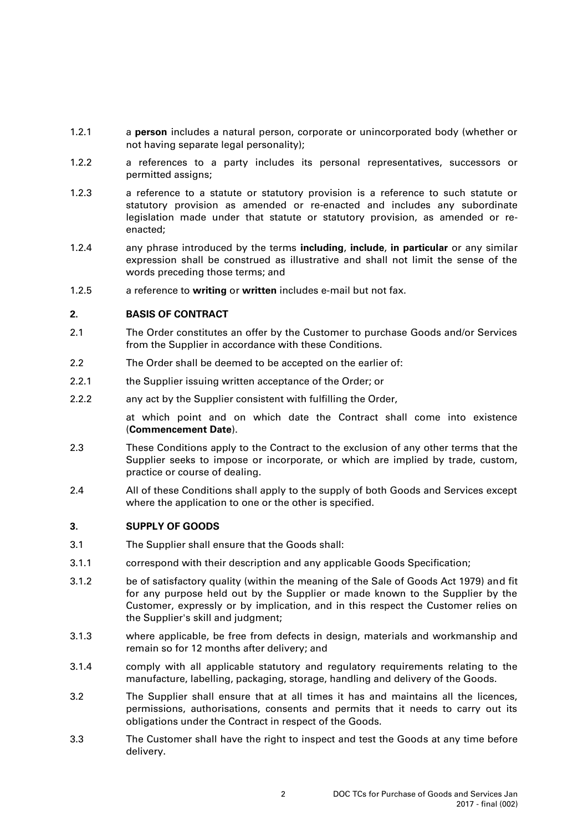- 1.2.1 a **person** includes a natural person, corporate or unincorporated body (whether or not having separate legal personality);
- 1.2.2 a references to a party includes its personal representatives, successors or permitted assigns;
- 1.2.3 a reference to a statute or statutory provision is a reference to such statute or statutory provision as amended or re-enacted and includes any subordinate legislation made under that statute or statutory provision, as amended or reenacted;
- 1.2.4 any phrase introduced by the terms **including**, **include**, **in particular** or any similar expression shall be construed as illustrative and shall not limit the sense of the words preceding those terms; and
- 1.2.5 a reference to **writing** or **written** includes e-mail but not fax.

## **2. BASIS OF CONTRACT**

- 2.1 The Order constitutes an offer by the Customer to purchase Goods and/or Services from the Supplier in accordance with these Conditions.
- <span id="page-1-0"></span>2.2 The Order shall be deemed to be accepted on the earlier of:
- 2.2.1 the Supplier issuing written acceptance of the Order; or
- 2.2.2 any act by the Supplier consistent with fulfilling the Order,

at which point and on which date the Contract shall come into existence (**Commencement Date**).

- 2.3 These Conditions apply to the Contract to the exclusion of any other terms that the Supplier seeks to impose or incorporate, or which are implied by trade, custom, practice or course of dealing.
- 2.4 All of these Conditions shall apply to the supply of both Goods and Services except where the application to one or the other is specified.

### **3. SUPPLY OF GOODS**

- <span id="page-1-1"></span>3.1 The Supplier shall ensure that the Goods shall:
- 3.1.1 correspond with their description and any applicable Goods Specification;
- 3.1.2 be of satisfactory quality (within the meaning of the Sale of Goods Act 1979) and fit for any purpose held out by the Supplier or made known to the Supplier by the Customer, expressly or by implication, and in this respect the Customer relies on the Supplier's skill and judgment;
- 3.1.3 where applicable, be free from defects in design, materials and workmanship and remain so for 12 months after delivery; and
- 3.1.4 comply with all applicable statutory and regulatory requirements relating to the manufacture, labelling, packaging, storage, handling and delivery of the Goods.
- 3.2 The Supplier shall ensure that at all times it has and maintains all the licences, permissions, authorisations, consents and permits that it needs to carry out its obligations under the Contract in respect of the Goods.
- 3.3 The Customer shall have the right to inspect and test the Goods at any time before delivery.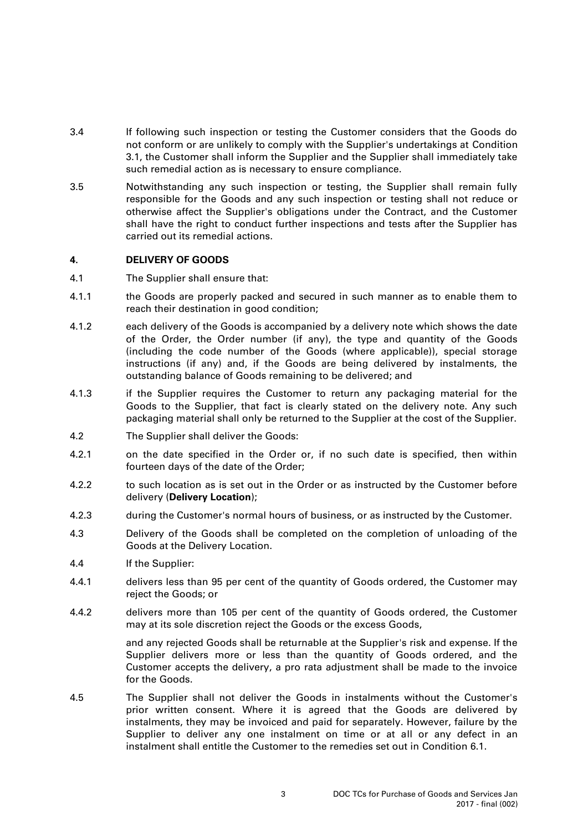- 3.4 If following such inspection or testing the Customer considers that the Goods do not conform or are unlikely to comply with the Supplier's undertakings at Condition [3.1,](#page-1-1) the Customer shall inform the Supplier and the Supplier shall immediately take such remedial action as is necessary to ensure compliance.
- 3.5 Notwithstanding any such inspection or testing, the Supplier shall remain fully responsible for the Goods and any such inspection or testing shall not reduce or otherwise affect the Supplier's obligations under the Contract, and the Customer shall have the right to conduct further inspections and tests after the Supplier has carried out its remedial actions.

## **4. DELIVERY OF GOODS**

- 4.1 The Supplier shall ensure that:
- 4.1.1 the Goods are properly packed and secured in such manner as to enable them to reach their destination in good condition;
- 4.1.2 each delivery of the Goods is accompanied by a delivery note which shows the date of the Order, the Order number (if any), the type and quantity of the Goods (including the code number of the Goods (where applicable)), special storage instructions (if any) and, if the Goods are being delivered by instalments, the outstanding balance of Goods remaining to be delivered; and
- 4.1.3 if the Supplier requires the Customer to return any packaging material for the Goods to the Supplier, that fact is clearly stated on the delivery note. Any such packaging material shall only be returned to the Supplier at the cost of the Supplier.
- 4.2 The Supplier shall deliver the Goods:
- 4.2.1 on the date specified in the Order or, if no such date is specified, then within fourteen days of the date of the Order;
- 4.2.2 to such location as is set out in the Order or as instructed by the Customer before delivery (**Delivery Location**);
- 4.2.3 during the Customer's normal hours of business, or as instructed by the Customer.
- 4.3 Delivery of the Goods shall be completed on the completion of unloading of the Goods at the Delivery Location.
- 4.4 If the Supplier:
- 4.4.1 delivers less than 95 per cent of the quantity of Goods ordered, the Customer may reject the Goods; or
- 4.4.2 delivers more than 105 per cent of the quantity of Goods ordered, the Customer may at its sole discretion reject the Goods or the excess Goods,

and any rejected Goods shall be returnable at the Supplier's risk and expense. If the Supplier delivers more or less than the quantity of Goods ordered, and the Customer accepts the delivery, a pro rata adjustment shall be made to the invoice for the Goods.

4.5 The Supplier shall not deliver the Goods in instalments without the Customer's prior written consent. Where it is agreed that the Goods are delivered by instalments, they may be invoiced and paid for separately. However, failure by the Supplier to deliver any one instalment on time or at all or any defect in an instalment shall entitle the Customer to the remedies set out in Condition [6.1.](#page-3-1)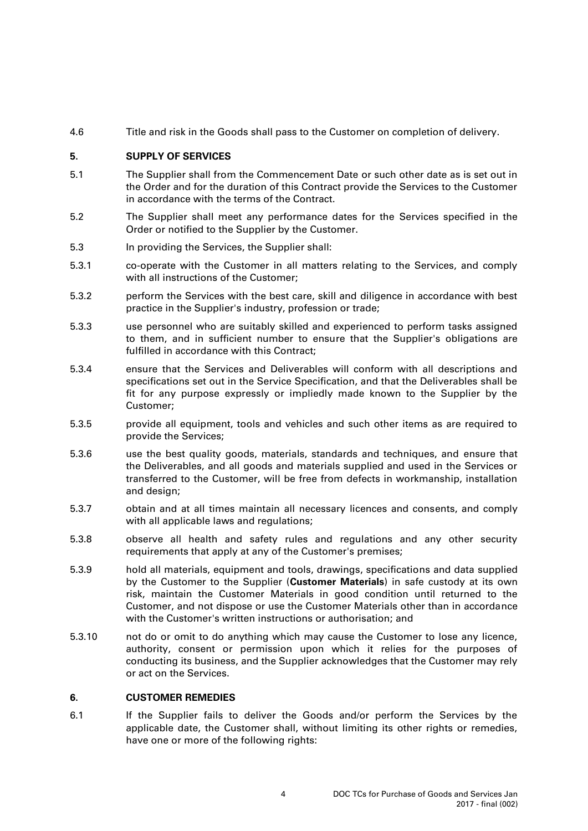4.6 Title and risk in the Goods shall pass to the Customer on completion of delivery.

# **5. SUPPLY OF SERVICES**

- 5.1 The Supplier shall from the Commencement Date or such other date as is set out in the Order and for the duration of this Contract provide the Services to the Customer in accordance with the terms of the Contract.
- 5.2 The Supplier shall meet any performance dates for the Services specified in the Order or notified to the Supplier by the Customer.
- 5.3 In providing the Services, the Supplier shall:
- 5.3.1 co-operate with the Customer in all matters relating to the Services, and comply with all instructions of the Customer:
- 5.3.2 perform the Services with the best care, skill and diligence in accordance with best practice in the Supplier's industry, profession or trade;
- 5.3.3 use personnel who are suitably skilled and experienced to perform tasks assigned to them, and in sufficient number to ensure that the Supplier's obligations are fulfilled in accordance with this Contract;
- 5.3.4 ensure that the Services and Deliverables will conform with all descriptions and specifications set out in the Service Specification, and that the Deliverables shall be fit for any purpose expressly or impliedly made known to the Supplier by the Customer;
- 5.3.5 provide all equipment, tools and vehicles and such other items as are required to provide the Services;
- 5.3.6 use the best quality goods, materials, standards and techniques, and ensure that the Deliverables, and all goods and materials supplied and used in the Services or transferred to the Customer, will be free from defects in workmanship, installation and design;
- 5.3.7 obtain and at all times maintain all necessary licences and consents, and comply with all applicable laws and regulations;
- 5.3.8 observe all health and safety rules and regulations and any other security requirements that apply at any of the Customer's premises;
- <span id="page-3-0"></span>5.3.9 hold all materials, equipment and tools, drawings, specifications and data supplied by the Customer to the Supplier (**Customer Materials**) in safe custody at its own risk, maintain the Customer Materials in good condition until returned to the Customer, and not dispose or use the Customer Materials other than in accordance with the Customer's written instructions or authorisation; and
- 5.3.10 not do or omit to do anything which may cause the Customer to lose any licence, authority, consent or permission upon which it relies for the purposes of conducting its business, and the Supplier acknowledges that the Customer may rely or act on the Services.

# **6. CUSTOMER REMEDIES**

<span id="page-3-1"></span>6.1 If the Supplier fails to deliver the Goods and/or perform the Services by the applicable date, the Customer shall, without limiting its other rights or remedies, have one or more of the following rights: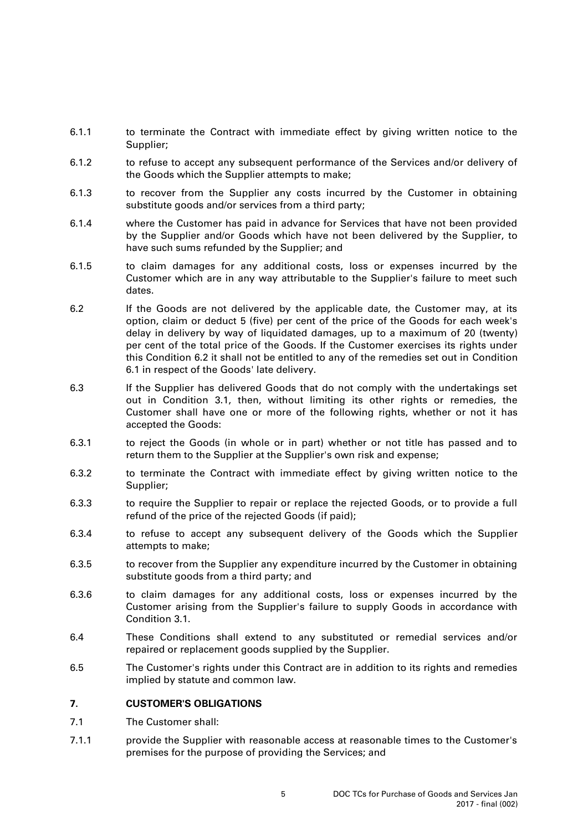- 6.1.1 to terminate the Contract with immediate effect by giving written notice to the Supplier;
- 6.1.2 to refuse to accept any subsequent performance of the Services and/or delivery of the Goods which the Supplier attempts to make;
- 6.1.3 to recover from the Supplier any costs incurred by the Customer in obtaining substitute goods and/or services from a third party;
- 6.1.4 where the Customer has paid in advance for Services that have not been provided by the Supplier and/or Goods which have not been delivered by the Supplier, to have such sums refunded by the Supplier; and
- 6.1.5 to claim damages for any additional costs, loss or expenses incurred by the Customer which are in any way attributable to the Supplier's failure to meet such dates.
- <span id="page-4-0"></span>6.2 If the Goods are not delivered by the applicable date, the Customer may, at its option, claim or deduct 5 (five) per cent of the price of the Goods for each week's delay in delivery by way of liquidated damages, up to a maximum of 20 (twenty) per cent of the total price of the Goods. If the Customer exercises its rights under this Condition [6.2](#page-4-0) it shall not be entitled to any of the remedies set out in Condition [6.1](#page-3-1) in respect of the Goods' late delivery.
- 6.3 If the Supplier has delivered Goods that do not comply with the undertakings set out in Condition [3.1,](#page-1-1) then, without limiting its other rights or remedies, the Customer shall have one or more of the following rights, whether or not it has accepted the Goods:
- 6.3.1 to reject the Goods (in whole or in part) whether or not title has passed and to return them to the Supplier at the Supplier's own risk and expense;
- 6.3.2 to terminate the Contract with immediate effect by giving written notice to the Supplier;
- 6.3.3 to require the Supplier to repair or replace the rejected Goods, or to provide a full refund of the price of the rejected Goods (if paid);
- 6.3.4 to refuse to accept any subsequent delivery of the Goods which the Supplier attempts to make;
- 6.3.5 to recover from the Supplier any expenditure incurred by the Customer in obtaining substitute goods from a third party; and
- 6.3.6 to claim damages for any additional costs, loss or expenses incurred by the Customer arising from the Supplier's failure to supply Goods in accordance with Condition [3.1.](#page-1-1)
- 6.4 These Conditions shall extend to any substituted or remedial services and/or repaired or replacement goods supplied by the Supplier.
- 6.5 The Customer's rights under this Contract are in addition to its rights and remedies implied by statute and common law.

### **7. CUSTOMER'S OBLIGATIONS**

- 7.1 The Customer shall:
- 7.1.1 provide the Supplier with reasonable access at reasonable times to the Customer's premises for the purpose of providing the Services; and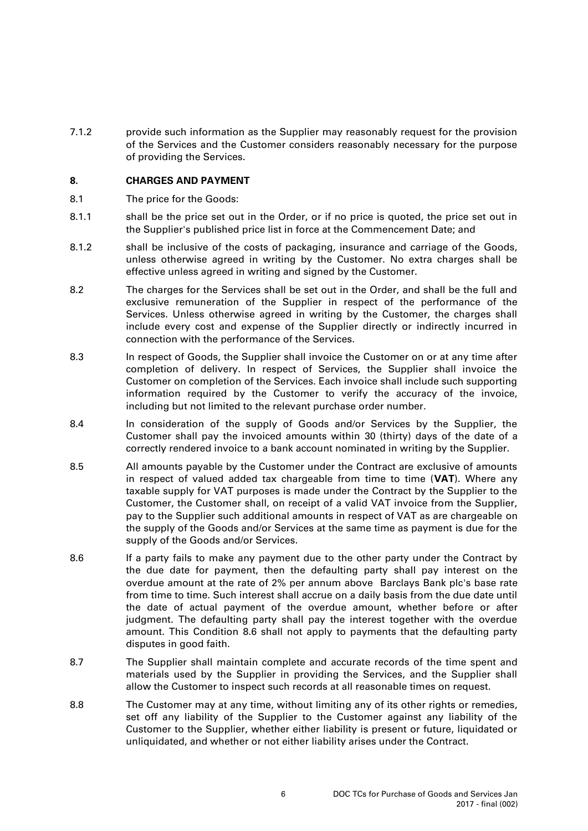7.1.2 provide such information as the Supplier may reasonably request for the provision of the Services and the Customer considers reasonably necessary for the purpose of providing the Services.

### **8. CHARGES AND PAYMENT**

- 8.1 The price for the Goods:
- 8.1.1 shall be the price set out in the Order, or if no price is quoted, the price set out in the Supplier's published price list in force at the Commencement Date; and
- 8.1.2 shall be inclusive of the costs of packaging, insurance and carriage of the Goods, unless otherwise agreed in writing by the Customer. No extra charges shall be effective unless agreed in writing and signed by the Customer.
- 8.2 The charges for the Services shall be set out in the Order, and shall be the full and exclusive remuneration of the Supplier in respect of the performance of the Services. Unless otherwise agreed in writing by the Customer, the charges shall include every cost and expense of the Supplier directly or indirectly incurred in connection with the performance of the Services.
- 8.3 In respect of Goods, the Supplier shall invoice the Customer on or at any time after completion of delivery. In respect of Services, the Supplier shall invoice the Customer on completion of the Services. Each invoice shall include such supporting information required by the Customer to verify the accuracy of the invoice, including but not limited to the relevant purchase order number.
- 8.4 In consideration of the supply of Goods and/or Services by the Supplier, the Customer shall pay the invoiced amounts within 30 (thirty) days of the date of a correctly rendered invoice to a bank account nominated in writing by the Supplier.
- 8.5 All amounts payable by the Customer under the Contract are exclusive of amounts in respect of valued added tax chargeable from time to time (**VAT**). Where any taxable supply for VAT purposes is made under the Contract by the Supplier to the Customer, the Customer shall, on receipt of a valid VAT invoice from the Supplier, pay to the Supplier such additional amounts in respect of VAT as are chargeable on the supply of the Goods and/or Services at the same time as payment is due for the supply of the Goods and/or Services.
- <span id="page-5-0"></span>8.6 If a party fails to make any payment due to the other party under the Contract by the due date for payment, then the defaulting party shall pay interest on the overdue amount at the rate of 2% per annum above Barclays Bank plc's base rate from time to time. Such interest shall accrue on a daily basis from the due date until the date of actual payment of the overdue amount, whether before or after judgment. The defaulting party shall pay the interest together with the overdue amount. This Condition [8.6](#page-5-0) shall not apply to payments that the defaulting party disputes in good faith.
- 8.7 The Supplier shall maintain complete and accurate records of the time spent and materials used by the Supplier in providing the Services, and the Supplier shall allow the Customer to inspect such records at all reasonable times on request.
- 8.8 The Customer may at any time, without limiting any of its other rights or remedies, set off any liability of the Supplier to the Customer against any liability of the Customer to the Supplier, whether either liability is present or future, liquidated or unliquidated, and whether or not either liability arises under the Contract.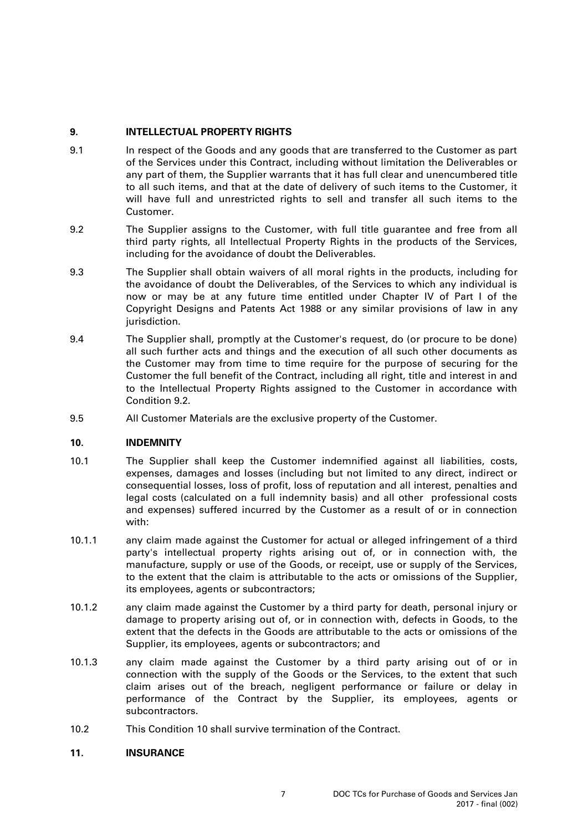# **9. INTELLECTUAL PROPERTY RIGHTS**

- 9.1 In respect of the Goods and any goods that are transferred to the Customer as part of the Services under this Contract, including without limitation the Deliverables or any part of them, the Supplier warrants that it has full clear and unencumbered title to all such items, and that at the date of delivery of such items to the Customer, it will have full and unrestricted rights to sell and transfer all such items to the Customer.
- <span id="page-6-0"></span>9.2 The Supplier assigns to the Customer, with full title guarantee and free from all third party rights, all Intellectual Property Rights in the products of the Services, including for the avoidance of doubt the Deliverables.
- 9.3 The Supplier shall obtain waivers of all moral rights in the products, including for the avoidance of doubt the Deliverables, of the Services to which any individual is now or may be at any future time entitled under Chapter IV of Part I of the Copyright Designs and Patents Act 1988 or any similar provisions of law in any jurisdiction.
- 9.4 The Supplier shall, promptly at the Customer's request, do (or procure to be done) all such further acts and things and the execution of all such other documents as the Customer may from time to time require for the purpose of securing for the Customer the full benefit of the Contract, including all right, title and interest in and to the Intellectual Property Rights assigned to the Customer in accordance with Condition [9.2.](#page-6-0)
- 9.5 All Customer Materials are the exclusive property of the Customer.

# <span id="page-6-1"></span>**10. INDEMNITY**

- 10.1 The Supplier shall keep the Customer indemnified against all liabilities, costs, expenses, damages and losses (including but not limited to any direct, indirect or consequential losses, loss of profit, loss of reputation and all interest, penalties and legal costs (calculated on a full indemnity basis) and all other professional costs and expenses) suffered incurred by the Customer as a result of or in connection with:
- 10.1.1 any claim made against the Customer for actual or alleged infringement of a third party's intellectual property rights arising out of, or in connection with, the manufacture, supply or use of the Goods, or receipt, use or supply of the Services, to the extent that the claim is attributable to the acts or omissions of the Supplier, its employees, agents or subcontractors;
- 10.1.2 any claim made against the Customer by a third party for death, personal injury or damage to property arising out of, or in connection with, defects in Goods, to the extent that the defects in the Goods are attributable to the acts or omissions of the Supplier, its employees, agents or subcontractors; and
- 10.1.3 any claim made against the Customer by a third party arising out of or in connection with the supply of the Goods or the Services, to the extent that such claim arises out of the breach, negligent performance or failure or delay in performance of the Contract by the Supplier, its employees, agents or subcontractors.
- 10.2 This Condition [10](#page-6-1) shall survive termination of the Contract.

# **11. INSURANCE**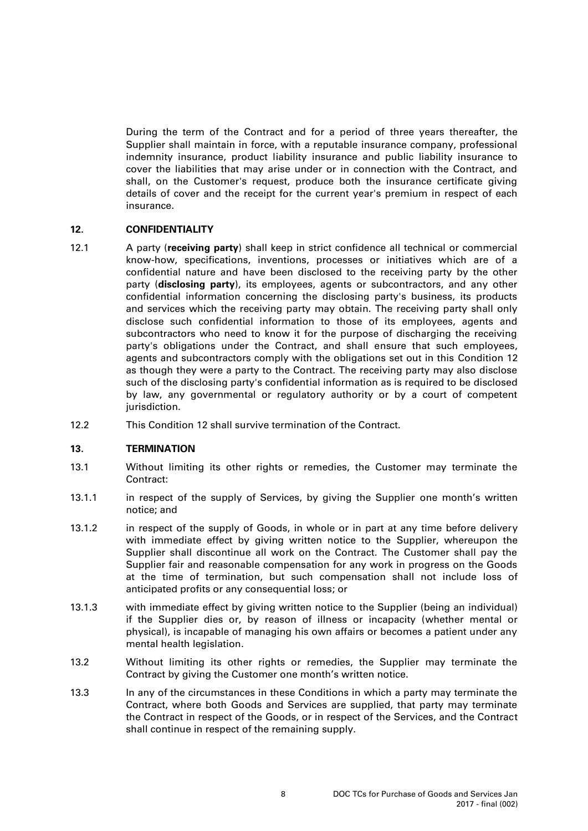During the term of the Contract and for a period of three years thereafter, the Supplier shall maintain in force, with a reputable insurance company, professional indemnity insurance, product liability insurance and public liability insurance to cover the liabilities that may arise under or in connection with the Contract, and shall, on the Customer's request, produce both the insurance certificate giving details of cover and the receipt for the current year's premium in respect of each insurance.

## <span id="page-7-0"></span>**12. CONFIDENTIALITY**

- 12.1 A party (**receiving party**) shall keep in strict confidence all technical or commercial know-how, specifications, inventions, processes or initiatives which are of a confidential nature and have been disclosed to the receiving party by the other party (**disclosing party**), its employees, agents or subcontractors, and any other confidential information concerning the disclosing party's business, its products and services which the receiving party may obtain. The receiving party shall only disclose such confidential information to those of its employees, agents and subcontractors who need to know it for the purpose of discharging the receiving party's obligations under the Contract, and shall ensure that such employees, agents and subcontractors comply with the obligations set out in this Condition [12](#page-7-0) as though they were a party to the Contract. The receiving party may also disclose such of the disclosing party's confidential information as is required to be disclosed by law, any governmental or regulatory authority or by a court of competent jurisdiction.
- 12.2 This Condition [12](#page-7-0) shall survive termination of the Contract.

### **13. TERMINATION**

- 13.1 Without limiting its other rights or remedies, the Customer may terminate the Contract:
- 13.1.1 in respect of the supply of Services, by giving the Supplier one month's written notice; and
- 13.1.2 in respect of the supply of Goods, in whole or in part at any time before delivery with immediate effect by giving written notice to the Supplier, whereupon the Supplier shall discontinue all work on the Contract. The Customer shall pay the Supplier fair and reasonable compensation for any work in progress on the Goods at the time of termination, but such compensation shall not include loss of anticipated profits or any consequential loss; or
- 13.1.3 with immediate effect by giving written notice to the Supplier (being an individual) if the Supplier dies or, by reason of illness or incapacity (whether mental or physical), is incapable of managing his own affairs or becomes a patient under any mental health legislation.
- 13.2 Without limiting its other rights or remedies, the Supplier may terminate the Contract by giving the Customer one month's written notice.
- 13.3 In any of the circumstances in these Conditions in which a party may terminate the Contract, where both Goods and Services are supplied, that party may terminate the Contract in respect of the Goods, or in respect of the Services, and the Contract shall continue in respect of the remaining supply.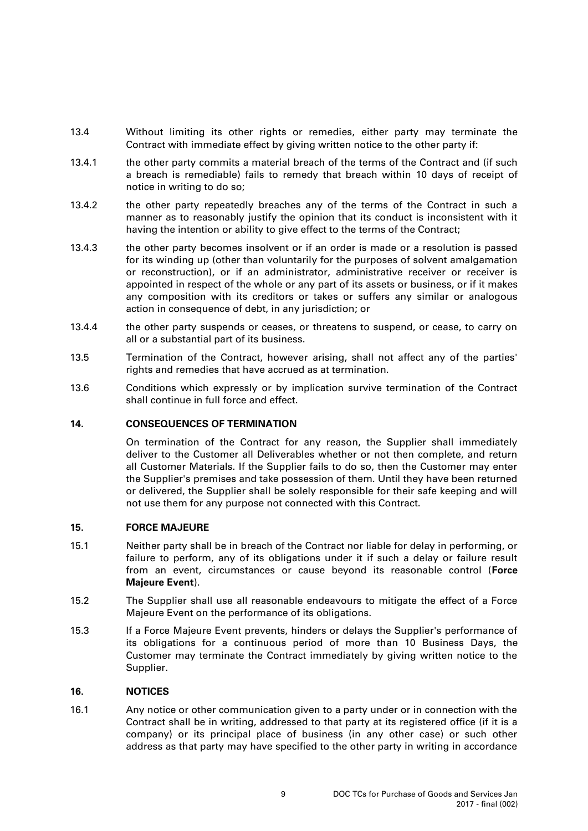- 13.4 Without limiting its other rights or remedies, either party may terminate the Contract with immediate effect by giving written notice to the other party if:
- 13.4.1 the other party commits a material breach of the terms of the Contract and (if such a breach is remediable) fails to remedy that breach within 10 days of receipt of notice in writing to do so;
- 13.4.2 the other party repeatedly breaches any of the terms of the Contract in such a manner as to reasonably justify the opinion that its conduct is inconsistent with it having the intention or ability to give effect to the terms of the Contract;
- 13.4.3 the other party becomes insolvent or if an order is made or a resolution is passed for its winding up (other than voluntarily for the purposes of solvent amalgamation or reconstruction), or if an administrator, administrative receiver or receiver is appointed in respect of the whole or any part of its assets or business, or if it makes any composition with its creditors or takes or suffers any similar or analogous action in consequence of debt, in any jurisdiction; or
- 13.4.4 the other party suspends or ceases, or threatens to suspend, or cease, to carry on all or a substantial part of its business.
- 13.5 Termination of the Contract, however arising, shall not affect any of the parties' rights and remedies that have accrued as at termination.
- 13.6 Conditions which expressly or by implication survive termination of the Contract shall continue in full force and effect.

### **14. CONSEQUENCES OF TERMINATION**

On termination of the Contract for any reason, the Supplier shall immediately deliver to the Customer all Deliverables whether or not then complete, and return all Customer Materials. If the Supplier fails to do so, then the Customer may enter the Supplier's premises and take possession of them. Until they have been returned or delivered, the Supplier shall be solely responsible for their safe keeping and will not use them for any purpose not connected with this Contract.

### **15. FORCE MAJEURE**

- 15.1 Neither party shall be in breach of the Contract nor liable for delay in performing, or failure to perform, any of its obligations under it if such a delay or failure result from an event, circumstances or cause beyond its reasonable control (**Force Majeure Event**).
- 15.2 The Supplier shall use all reasonable endeavours to mitigate the effect of a Force Majeure Event on the performance of its obligations.
- 15.3 If a Force Majeure Event prevents, hinders or delays the Supplier's performance of its obligations for a continuous period of more than 10 Business Days, the Customer may terminate the Contract immediately by giving written notice to the Supplier.

## <span id="page-8-1"></span>**16. NOTICES**

<span id="page-8-0"></span>16.1 Any notice or other communication given to a party under or in connection with the Contract shall be in writing, addressed to that party at its registered office (if it is a company) or its principal place of business (in any other case) or such other address as that party may have specified to the other party in writing in accordance